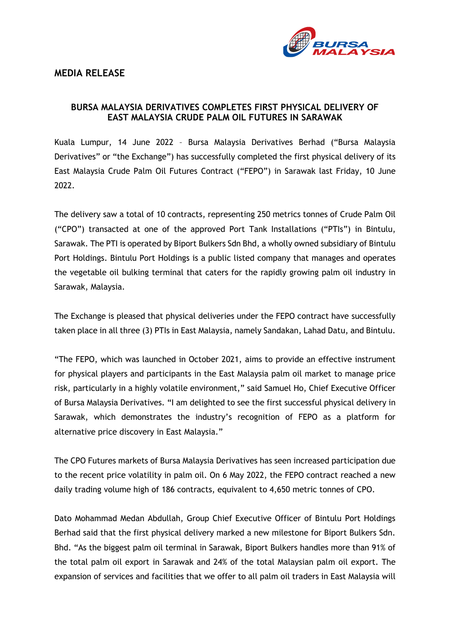

## **MEDIA RELEASE**

## **BURSA MALAYSIA DERIVATIVES COMPLETES FIRST PHYSICAL DELIVERY OF EAST MALAYSIA CRUDE PALM OIL FUTURES IN SARAWAK**

Kuala Lumpur, 14 June 2022 – Bursa Malaysia Derivatives Berhad ("Bursa Malaysia Derivatives" or "the Exchange") has successfully completed the first physical delivery of its East Malaysia Crude Palm Oil Futures Contract ("FEPO") in Sarawak last Friday, 10 June 2022.

The delivery saw a total of 10 contracts, representing 250 metrics tonnes of Crude Palm Oil ("CPO") transacted at one of the approved Port Tank Installations ("PTIs") in Bintulu, Sarawak. The PTI is operated by Biport Bulkers Sdn Bhd, a wholly owned subsidiary of Bintulu Port Holdings. Bintulu Port Holdings is a public listed company that manages and operates the vegetable oil bulking terminal that caters for the rapidly growing palm oil industry in Sarawak, Malaysia.

The Exchange is pleased that physical deliveries under the FEPO contract have successfully taken place in all three (3) PTIs in East Malaysia, namely Sandakan, Lahad Datu, and Bintulu.

"The FEPO, which was launched in October 2021, aims to provide an effective instrument for physical players and participants in the East Malaysia palm oil market to manage price risk, particularly in a highly volatile environment," said Samuel Ho, Chief Executive Officer of Bursa Malaysia Derivatives. "I am delighted to see the first successful physical delivery in Sarawak, which demonstrates the industry's recognition of FEPO as a platform for alternative price discovery in East Malaysia."

The CPO Futures markets of Bursa Malaysia Derivatives has seen increased participation due to the recent price volatility in palm oil. On 6 May 2022, the FEPO contract reached a new daily trading volume high of 186 contracts, equivalent to 4,650 metric tonnes of CPO.

Dato Mohammad Medan Abdullah, Group Chief Executive Officer of Bintulu Port Holdings Berhad said that the first physical delivery marked a new milestone for Biport Bulkers Sdn. Bhd. "As the biggest palm oil terminal in Sarawak, Biport Bulkers handles more than 91% of the total palm oil export in Sarawak and 24% of the total Malaysian palm oil export. The expansion of services and facilities that we offer to all palm oil traders in East Malaysia will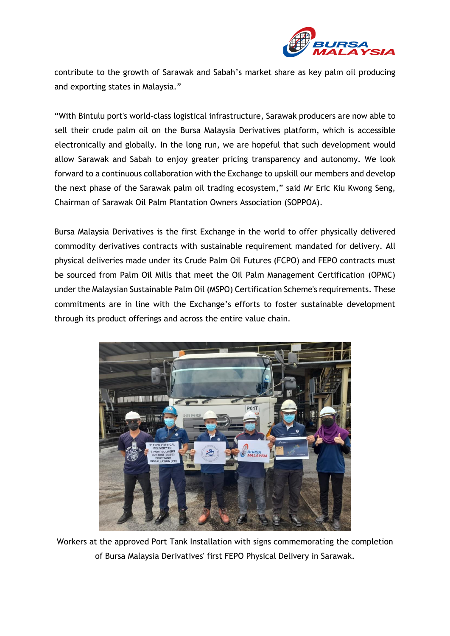

contribute to the growth of Sarawak and Sabah's market share as key palm oil producing and exporting states in Malaysia."

"With Bintulu port's world-class logistical infrastructure, Sarawak producers are now able to sell their crude palm oil on the Bursa Malaysia Derivatives platform, which is accessible electronically and globally. In the long run, we are hopeful that such development would allow Sarawak and Sabah to enjoy greater pricing transparency and autonomy. We look forward to a continuous collaboration with the Exchange to upskill our members and develop the next phase of the Sarawak palm oil trading ecosystem," said Mr Eric Kiu Kwong Seng, Chairman of Sarawak Oil Palm Plantation Owners Association (SOPPOA).

Bursa Malaysia Derivatives is the first Exchange in the world to offer physically delivered commodity derivatives contracts with sustainable requirement mandated for delivery. All physical deliveries made under its Crude Palm Oil Futures (FCPO) and FEPO contracts must be sourced from Palm Oil Mills that meet the Oil Palm Management Certification (OPMC) under the Malaysian Sustainable Palm Oil (MSPO) Certification Scheme's requirements. These commitments are in line with the Exchange's efforts to foster sustainable development through its product offerings and across the entire value chain.



Workers at the approved Port Tank Installation with signs commemorating the completion of Bursa Malaysia Derivatives' first FEPO Physical Delivery in Sarawak.